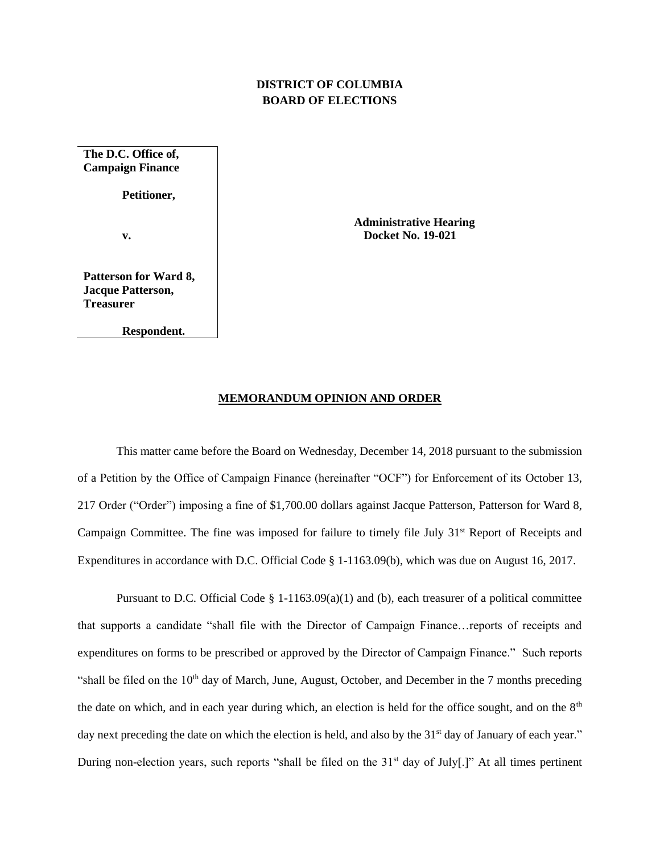## **DISTRICT OF COLUMBIA BOARD OF ELECTIONS**

**The D.C. Office of, Campaign Finance Petitioner, v.**

**Patterson for Ward 8, Jacque Patterson, Treasurer**

**Respondent.**

 **Administrative Hearing Docket No. 19-021**

## **MEMORANDUM OPINION AND ORDER**

This matter came before the Board on Wednesday, December 14, 2018 pursuant to the submission of a Petition by the Office of Campaign Finance (hereinafter "OCF") for Enforcement of its October 13, 217 Order ("Order") imposing a fine of \$1,700.00 dollars against Jacque Patterson, Patterson for Ward 8, Campaign Committee. The fine was imposed for failure to timely file July 31<sup>st</sup> Report of Receipts and Expenditures in accordance with D.C. Official Code § 1-1163.09(b), which was due on August 16, 2017.

Pursuant to D.C. Official Code § 1-1163.09(a)(1) and (b), each treasurer of a political committee that supports a candidate "shall file with the Director of Campaign Finance…reports of receipts and expenditures on forms to be prescribed or approved by the Director of Campaign Finance." Such reports "shall be filed on the  $10<sup>th</sup>$  day of March, June, August, October, and December in the 7 months preceding the date on which, and in each year during which, an election is held for the office sought, and on the  $8<sup>th</sup>$ day next preceding the date on which the election is held, and also by the 31<sup>st</sup> day of January of each year." During non-election years, such reports "shall be filed on the  $31<sup>st</sup>$  day of July[.]" At all times pertinent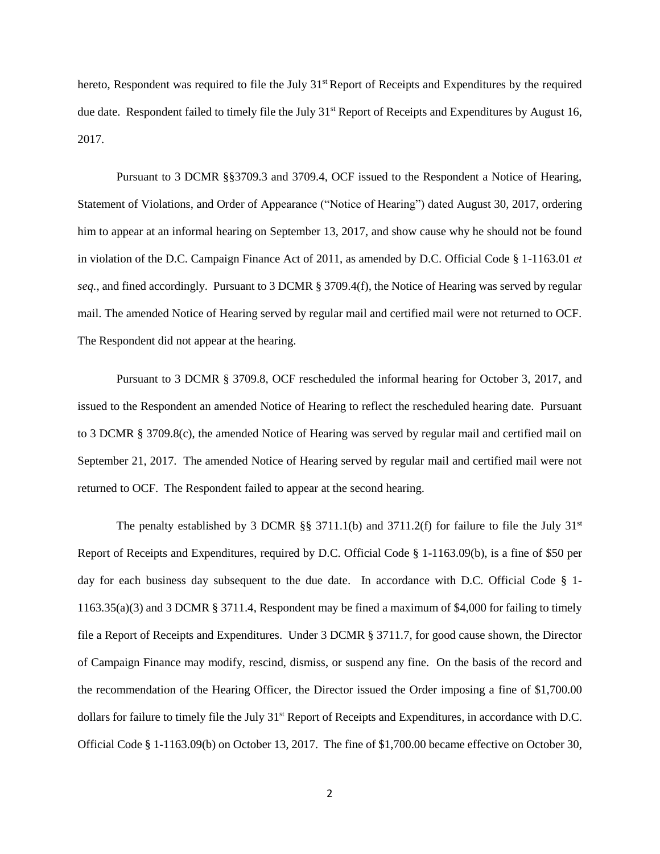hereto, Respondent was required to file the July 31<sup>st</sup> Report of Receipts and Expenditures by the required due date. Respondent failed to timely file the July 31<sup>st</sup> Report of Receipts and Expenditures by August 16, 2017.

Pursuant to 3 DCMR §§3709.3 and 3709.4, OCF issued to the Respondent a Notice of Hearing, Statement of Violations, and Order of Appearance ("Notice of Hearing") dated August 30, 2017, ordering him to appear at an informal hearing on September 13, 2017, and show cause why he should not be found in violation of the D.C. Campaign Finance Act of 2011, as amended by D.C. Official Code § 1-1163.01 *et seq.*, and fined accordingly. Pursuant to 3 DCMR § 3709.4(f), the Notice of Hearing was served by regular mail. The amended Notice of Hearing served by regular mail and certified mail were not returned to OCF. The Respondent did not appear at the hearing.

Pursuant to 3 DCMR § 3709.8, OCF rescheduled the informal hearing for October 3, 2017, and issued to the Respondent an amended Notice of Hearing to reflect the rescheduled hearing date. Pursuant to 3 DCMR § 3709.8(c), the amended Notice of Hearing was served by regular mail and certified mail on September 21, 2017. The amended Notice of Hearing served by regular mail and certified mail were not returned to OCF. The Respondent failed to appear at the second hearing.

The penalty established by 3 DCMR §§ 3711.1(b) and 3711.2(f) for failure to file the July 31<sup>st</sup> Report of Receipts and Expenditures, required by D.C. Official Code § 1-1163.09(b), is a fine of \$50 per day for each business day subsequent to the due date. In accordance with D.C. Official Code § 1-1163.35(a)(3) and 3 DCMR § 3711.4, Respondent may be fined a maximum of \$4,000 for failing to timely file a Report of Receipts and Expenditures. Under 3 DCMR § 3711.7, for good cause shown, the Director of Campaign Finance may modify, rescind, dismiss, or suspend any fine. On the basis of the record and the recommendation of the Hearing Officer, the Director issued the Order imposing a fine of \$1,700.00 dollars for failure to timely file the July 31<sup>st</sup> Report of Receipts and Expenditures, in accordance with D.C. Official Code § 1-1163.09(b) on October 13, 2017. The fine of \$1,700.00 became effective on October 30,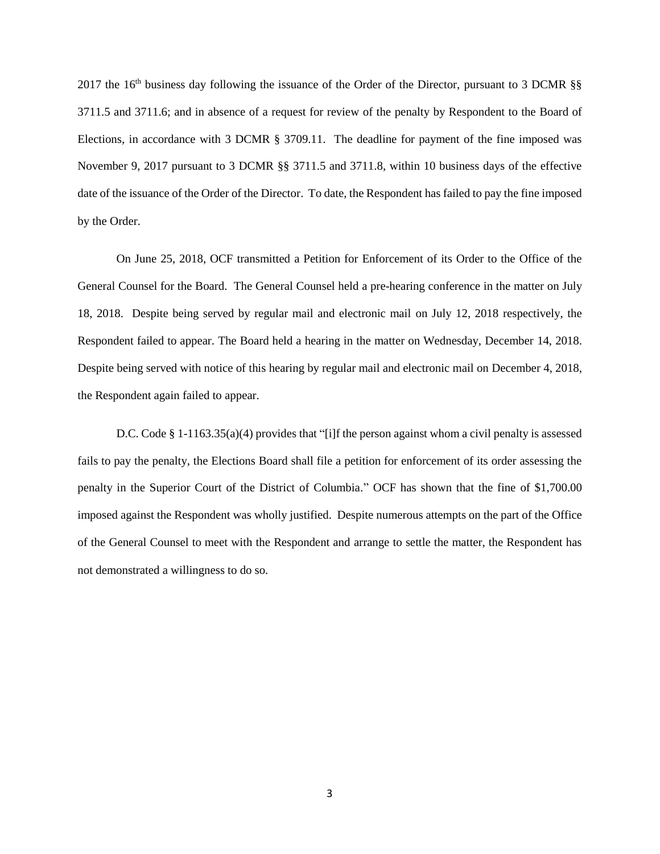2017 the 16<sup>th</sup> business day following the issuance of the Order of the Director, pursuant to 3 DCMR  $\S$ 3711.5 and 3711.6; and in absence of a request for review of the penalty by Respondent to the Board of Elections, in accordance with 3 DCMR § 3709.11. The deadline for payment of the fine imposed was November 9, 2017 pursuant to 3 DCMR §§ 3711.5 and 3711.8, within 10 business days of the effective date of the issuance of the Order of the Director. To date, the Respondent has failed to pay the fine imposed by the Order.

On June 25, 2018, OCF transmitted a Petition for Enforcement of its Order to the Office of the General Counsel for the Board. The General Counsel held a pre-hearing conference in the matter on July 18, 2018. Despite being served by regular mail and electronic mail on July 12, 2018 respectively, the Respondent failed to appear. The Board held a hearing in the matter on Wednesday, December 14, 2018. Despite being served with notice of this hearing by regular mail and electronic mail on December 4, 2018, the Respondent again failed to appear.

D.C. Code § 1-1163.35(a)(4) provides that "[i]f the person against whom a civil penalty is assessed fails to pay the penalty, the Elections Board shall file a petition for enforcement of its order assessing the penalty in the Superior Court of the District of Columbia." OCF has shown that the fine of \$1,700.00 imposed against the Respondent was wholly justified. Despite numerous attempts on the part of the Office of the General Counsel to meet with the Respondent and arrange to settle the matter, the Respondent has not demonstrated a willingness to do so.